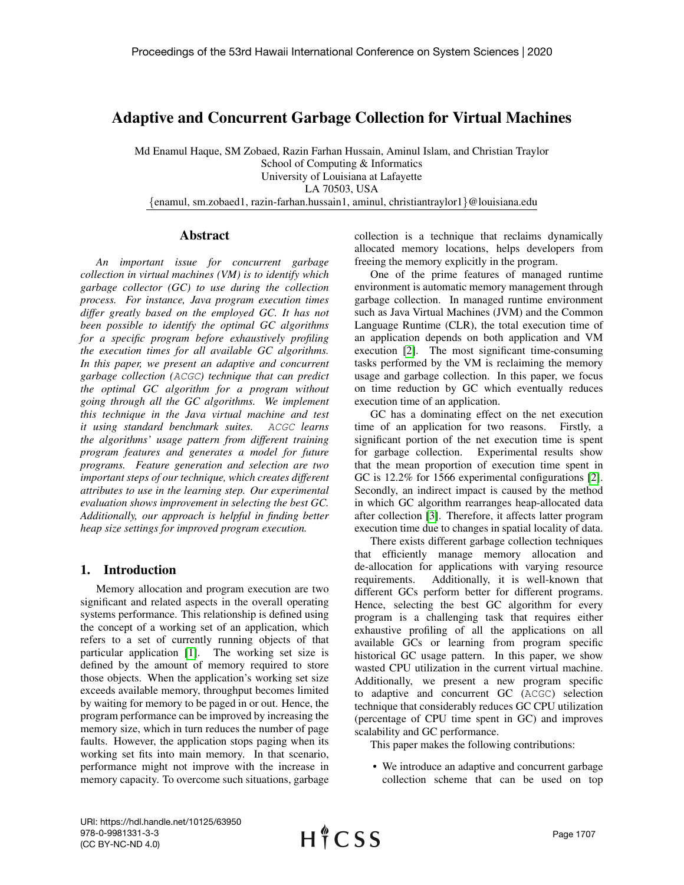# Adaptive and Concurrent Garbage Collection for Virtual Machines

Md Enamul Haque, SM Zobaed, Razin Farhan Hussain, Aminul Islam, and Christian Traylor School of Computing & Informatics University of Louisiana at Lafayette LA 70503, USA {enamul, sm.zobaed1, razin-farhan.hussain1, aminul, christiantraylor1}@louisiana.edu

#### Abstract

*An important issue for concurrent garbage collection in virtual machines (VM) is to identify which garbage collector (GC) to use during the collection process. For instance, Java program execution times differ greatly based on the employed GC. It has not been possible to identify the optimal GC algorithms for a specific program before exhaustively profiling the execution times for all available GC algorithms. In this paper, we present an adaptive and concurrent garbage collection (*ACGC*) technique that can predict the optimal GC algorithm for a program without going through all the GC algorithms. We implement this technique in the Java virtual machine and test it using standard benchmark suites.* ACGC *learns the algorithms' usage pattern from different training program features and generates a model for future programs. Feature generation and selection are two important steps of our technique, which creates different attributes to use in the learning step. Our experimental evaluation shows improvement in selecting the best GC. Additionally, our approach is helpful in finding better heap size settings for improved program execution.*

# 1. Introduction

Memory allocation and program execution are two significant and related aspects in the overall operating systems performance. This relationship is defined using the concept of a working set of an application, which refers to a set of currently running objects of that particular application [\[1\]](#page-9-0). The working set size is defined by the amount of memory required to store those objects. When the application's working set size exceeds available memory, throughput becomes limited by waiting for memory to be paged in or out. Hence, the program performance can be improved by increasing the memory size, which in turn reduces the number of page faults. However, the application stops paging when its working set fits into main memory. In that scenario, performance might not improve with the increase in memory capacity. To overcome such situations, garbage collection is a technique that reclaims dynamically allocated memory locations, helps developers from freeing the memory explicitly in the program.

One of the prime features of managed runtime environment is automatic memory management through garbage collection. In managed runtime environment such as Java Virtual Machines (JVM) and the Common Language Runtime (CLR), the total execution time of an application depends on both application and VM execution [\[2\]](#page-9-1). The most significant time-consuming tasks performed by the VM is reclaiming the memory usage and garbage collection. In this paper, we focus on time reduction by GC which eventually reduces execution time of an application.

GC has a dominating effect on the net execution time of an application for two reasons. Firstly, a significant portion of the net execution time is spent for garbage collection. Experimental results show that the mean proportion of execution time spent in GC is 12.2% for 1566 experimental configurations [\[2\]](#page-9-1). Secondly, an indirect impact is caused by the method in which GC algorithm rearranges heap-allocated data after collection [\[3\]](#page-9-2). Therefore, it affects latter program execution time due to changes in spatial locality of data.

There exists different garbage collection techniques that efficiently manage memory allocation and de-allocation for applications with varying resource requirements. Additionally, it is well-known that different GCs perform better for different programs. Hence, selecting the best GC algorithm for every program is a challenging task that requires either exhaustive profiling of all the applications on all available GCs or learning from program specific historical GC usage pattern. In this paper, we show wasted CPU utilization in the current virtual machine. Additionally, we present a new program specific to adaptive and concurrent GC (ACGC) selection technique that considerably reduces GC CPU utilization (percentage of CPU time spent in GC) and improves scalability and GC performance.

This paper makes the following contributions:

• We introduce an adaptive and concurrent garbage collection scheme that can be used on top

URI: https://hdl.handle.net/10125/63950 978-0-9981331-3-3 (CC BY-NC-ND 4.0)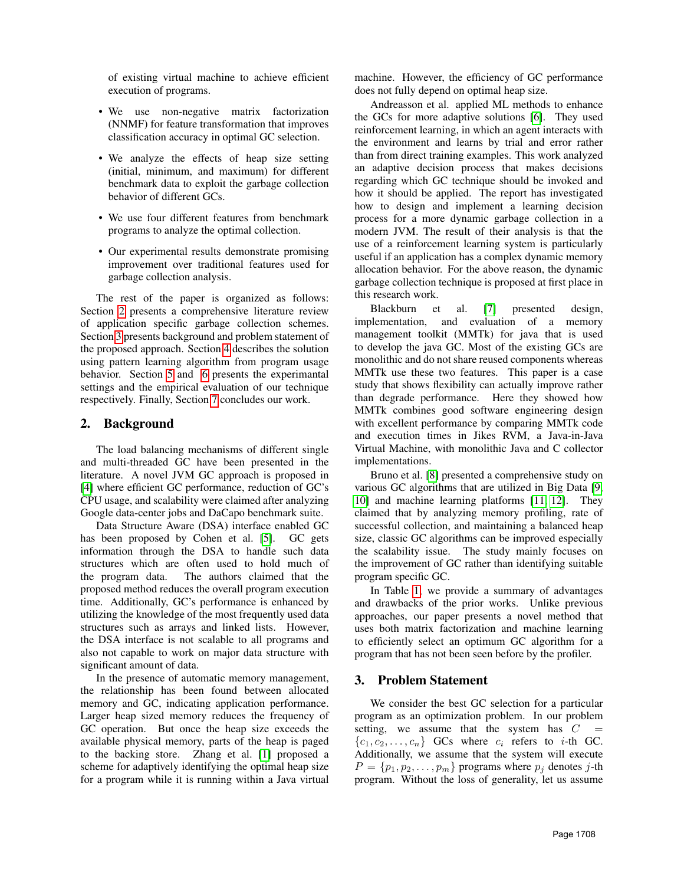of existing virtual machine to achieve efficient execution of programs.

- We use non-negative matrix factorization (NNMF) for feature transformation that improves classification accuracy in optimal GC selection.
- We analyze the effects of heap size setting (initial, minimum, and maximum) for different benchmark data to exploit the garbage collection behavior of different GCs.
- We use four different features from benchmark programs to analyze the optimal collection.
- Our experimental results demonstrate promising improvement over traditional features used for garbage collection analysis.

The rest of the paper is organized as follows: Section [2](#page-1-0) presents a comprehensive literature review of application specific garbage collection schemes. Section [3](#page-1-1) presents background and problem statement of the proposed approach. Section [4](#page-2-0) describes the solution using pattern learning algorithm from program usage behavior. Section [5](#page-2-1) and [6](#page-6-0) presents the experimantal settings and the empirical evaluation of our technique respectively. Finally, Section [7](#page-8-0) concludes our work.

## <span id="page-1-0"></span>2. Background

The load balancing mechanisms of different single and multi-threaded GC have been presented in the literature. A novel JVM GC approach is proposed in [\[4\]](#page-9-3) where efficient GC performance, reduction of GC's CPU usage, and scalability were claimed after analyzing Google data-center jobs and DaCapo benchmark suite.

Data Structure Aware (DSA) interface enabled GC has been proposed by Cohen et al. [\[5\]](#page-9-4). GC gets information through the DSA to handle such data structures which are often used to hold much of the program data. The authors claimed that the proposed method reduces the overall program execution time. Additionally, GC's performance is enhanced by utilizing the knowledge of the most frequently used data structures such as arrays and linked lists. However, the DSA interface is not scalable to all programs and also not capable to work on major data structure with significant amount of data.

In the presence of automatic memory management, the relationship has been found between allocated memory and GC, indicating application performance. Larger heap sized memory reduces the frequency of GC operation. But once the heap size exceeds the available physical memory, parts of the heap is paged to the backing store. Zhang et al. [\[1\]](#page-9-0) proposed a scheme for adaptively identifying the optimal heap size for a program while it is running within a Java virtual machine. However, the efficiency of GC performance does not fully depend on optimal heap size.

Andreasson et al. applied ML methods to enhance the GCs for more adaptive solutions [\[6\]](#page-9-5). They used reinforcement learning, in which an agent interacts with the environment and learns by trial and error rather than from direct training examples. This work analyzed an adaptive decision process that makes decisions regarding which GC technique should be invoked and how it should be applied. The report has investigated how to design and implement a learning decision process for a more dynamic garbage collection in a modern JVM. The result of their analysis is that the use of a reinforcement learning system is particularly useful if an application has a complex dynamic memory allocation behavior. For the above reason, the dynamic garbage collection technique is proposed at first place in this research work.

Blackburn et al. [\[7\]](#page-9-6) presented design, implementation, and evaluation of a memory management toolkit (MMTk) for java that is used to develop the java GC. Most of the existing GCs are monolithic and do not share reused components whereas MMTk use these two features. This paper is a case study that shows flexibility can actually improve rather than degrade performance. Here they showed how MMTk combines good software engineering design with excellent performance by comparing MMTk code and execution times in Jikes RVM, a Java-in-Java Virtual Machine, with monolithic Java and C collector implementations.

Bruno et al. [\[8\]](#page-9-7) presented a comprehensive study on various GC algorithms that are utilized in Big Data [\[9,](#page-9-8) [10\]](#page-9-9) and machine learning platforms [\[11,](#page-9-10) [12\]](#page-9-11). They claimed that by analyzing memory profiling, rate of successful collection, and maintaining a balanced heap size, classic GC algorithms can be improved especially the scalability issue. The study mainly focuses on the improvement of GC rather than identifying suitable program specific GC.

In Table [1,](#page-2-2) we provide a summary of advantages and drawbacks of the prior works. Unlike previous approaches, our paper presents a novel method that uses both matrix factorization and machine learning to efficiently select an optimum GC algorithm for a program that has not been seen before by the profiler.

### <span id="page-1-1"></span>3. Problem Statement

We consider the best GC selection for a particular program as an optimization problem. In our problem setting, we assume that the system has  $C =$  ${c_1, c_2, \ldots, c_n}$  GCs where  $c_i$  refers to *i*-th GC. Additionally, we assume that the system will execute  $P = \{p_1, p_2, \ldots, p_m\}$  programs where  $p_j$  denotes j-th program. Without the loss of generality, let us assume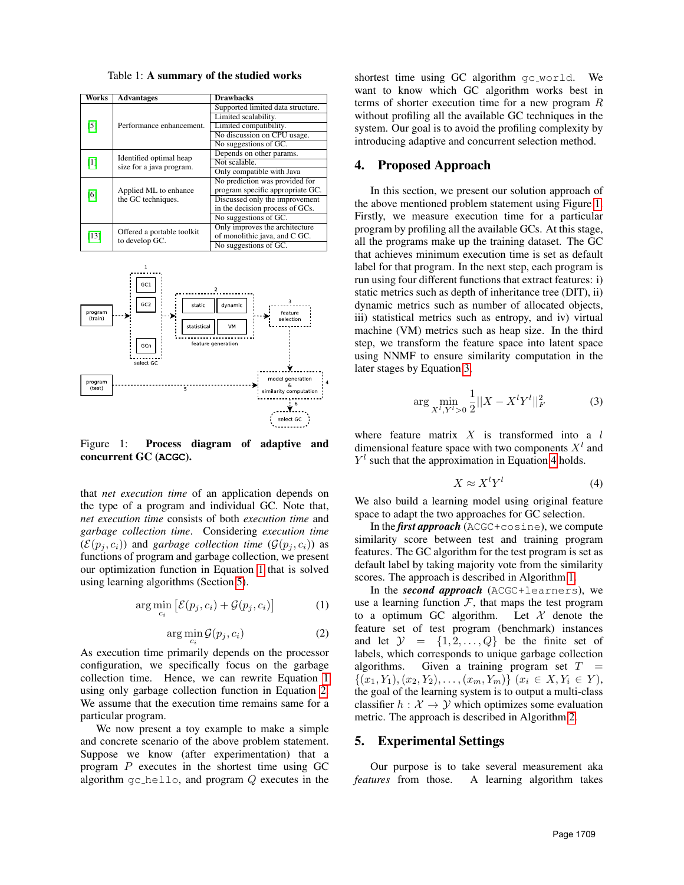<span id="page-2-2"></span>Table 1: A summary of the studied works

| Works             | <b>Advantages</b>          | <b>Drawbacks</b>                  |  |  |  |
|-------------------|----------------------------|-----------------------------------|--|--|--|
| $\lceil 5 \rceil$ |                            | Supported limited data structure. |  |  |  |
|                   | Performance enhancement.   | Limited scalability.              |  |  |  |
|                   |                            | Limited compatibility.            |  |  |  |
|                   |                            | No discussion on CPU usage.       |  |  |  |
|                   |                            | No suggestions of GC.             |  |  |  |
| $\lceil 1 \rceil$ | Identified optimal heap    | Depends on other params.          |  |  |  |
|                   | size for a java program.   | Not scalable.                     |  |  |  |
|                   |                            | Only compatible with Java         |  |  |  |
| [6]               |                            | No prediction was provided for    |  |  |  |
|                   | Applied ML to enhance      | program specific appropriate GC.  |  |  |  |
|                   | the GC techniques.         | Discussed only the improvement    |  |  |  |
|                   |                            | in the decision process of GCs.   |  |  |  |
|                   |                            | No suggestions of GC.             |  |  |  |
| [13]              | Offered a portable toolkit | Only improves the architecture    |  |  |  |
|                   | to develop GC.             | of monolithic java, and C GC.     |  |  |  |
|                   |                            | No suggestions of GC.             |  |  |  |

<span id="page-2-5"></span>

Figure 1: Process diagram of adaptive and concurrent GC (**ACGC**).

that *net execution time* of an application depends on the type of a program and individual GC. Note that, *net execution time* consists of both *execution time* and *garbage collection time*. Considering *execution time*  $(\mathcal{E}(p_i, c_i))$  and *garbage collection time*  $(\mathcal{G}(p_i, c_i))$  as functions of program and garbage collection, we present our optimization function in Equation [1](#page-2-3) that is solved using learning algorithms (Section [5\)](#page-2-1).

<span id="page-2-3"></span>
$$
\arg\min_{c_i} \left[ \mathcal{E}(p_j, c_i) + \mathcal{G}(p_j, c_i) \right] \tag{1}
$$

<span id="page-2-4"></span>
$$
\arg\min_{c_i} \mathcal{G}(p_j, c_i) \tag{2}
$$

As execution time primarily depends on the processor configuration, we specifically focus on the garbage collection time. Hence, we can rewrite Equation [1](#page-2-3) using only garbage collection function in Equation [2.](#page-2-4) We assume that the execution time remains same for a particular program.

We now present a toy example to make a simple and concrete scenario of the above problem statement. Suppose we know (after experimentation) that a program  $P$  executes in the shortest time using GC algorithm  $gc_{\text{hello}}$ , and program  $Q$  executes in the shortest time using GC algorithm gc\_world. We want to know which GC algorithm works best in terms of shorter execution time for a new program R without profiling all the available GC techniques in the system. Our goal is to avoid the profiling complexity by introducing adaptive and concurrent selection method.

### <span id="page-2-0"></span>4. Proposed Approach

In this section, we present our solution approach of the above mentioned problem statement using Figure [1.](#page-2-5) Firstly, we measure execution time for a particular program by profiling all the available GCs. At this stage, all the programs make up the training dataset. The GC that achieves minimum execution time is set as default label for that program. In the next step, each program is run using four different functions that extract features: i) static metrics such as depth of inheritance tree (DIT), ii) dynamic metrics such as number of allocated objects, iii) statistical metrics such as entropy, and iv) virtual machine (VM) metrics such as heap size. In the third step, we transform the feature space into latent space using NNMF to ensure similarity computation in the later stages by Equation [3,](#page-2-6)

<span id="page-2-6"></span>
$$
\arg\min_{X^l, Y^l > 0} \frac{1}{2} ||X - X^l Y^l||_F^2 \tag{3}
$$

where feature matrix  $X$  is transformed into a  $l$ dimensional feature space with two components  $X<sup>l</sup>$  and  $Y<sup>l</sup>$  such that the approximation in Equation [4](#page-2-7) holds.

<span id="page-2-7"></span>
$$
X \approx X^l Y^l \tag{4}
$$

We also build a learning model using original feature space to adapt the two approaches for GC selection.

In the *first approach* (ACGC+cosine), we compute similarity score between test and training program features. The GC algorithm for the test program is set as default label by taking majority vote from the similarity scores. The approach is described in Algorithm [1.](#page-3-0)

In the *second approach* (ACGC+learners), we use a learning function  $F$ , that maps the test program to a optimum GC algorithm. Let  $\mathcal X$  denote the feature set of test program (benchmark) instances and let  $\mathcal{Y} = \{1, 2, ..., Q\}$  be the finite set of labels, which corresponds to unique garbage collection algorithms. Given a training program set  $T =$  $\{(x_1, Y_1), (x_2, Y_2), \ldots, (x_m, Y_m)\}\ (x_i \in X, Y_i \in Y),$ the goal of the learning system is to output a multi-class classifier  $h : \mathcal{X} \to \mathcal{Y}$  which optimizes some evaluation metric. The approach is described in Algorithm [2.](#page-3-1)

#### <span id="page-2-1"></span>5. Experimental Settings

Our purpose is to take several measurement aka *features* from those. A learning algorithm takes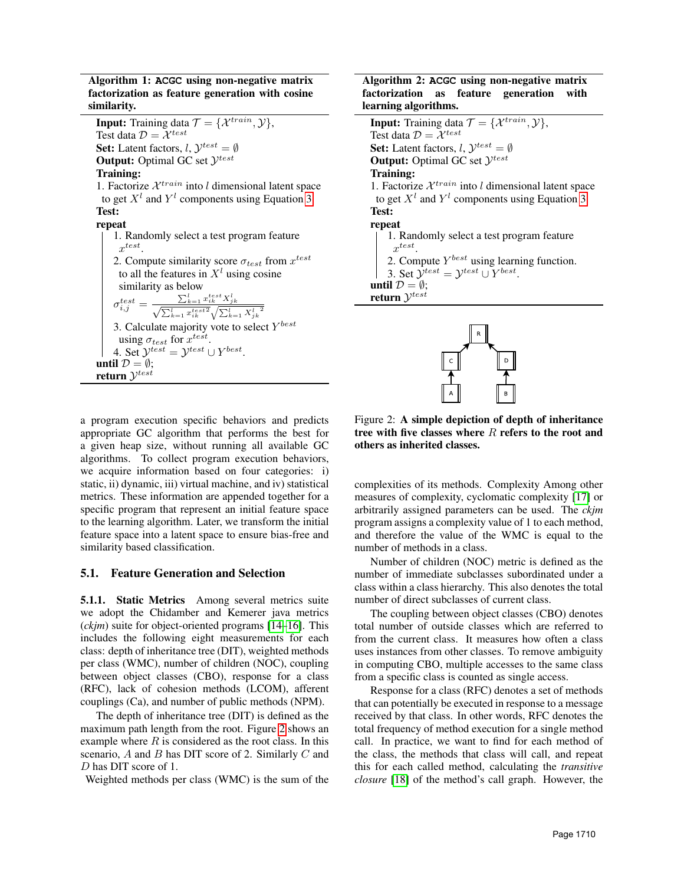Algorithm 1: **ACGC** using non-negative matrix factorization as feature generation with cosine similarity.

**Input:** Training data  $\mathcal{T} = \{ \mathcal{X}^{train}, \mathcal{Y} \},\$ Test data  $\mathcal{D} = \mathcal{X}^{test}$ **Set:** Latent factors,  $l$ ,  $\mathcal{Y}^{test} = \emptyset$ **Output:** Optimal GC set  $\mathcal{Y}^{test}$ Training: 1. Factorize  $\mathcal{X}^{train}$  into l dimensional latent space to get  $X^l$  and  $Y^l$  components using Equation [3.](#page-2-6) Test: repeat 1. Randomly select a test program feature  $x^{test}$ . 2. Compute similarity score  $\sigma_{test}$  from  $x^{test}$ to all the features in  $X<sup>l</sup>$  using cosine similarity as below  $\sigma _{i,j}^{test} = \frac{\sum_{k=1}^l x_{ik}^{test} X_{jk}^l}{\sqrt{\sum_{k=1}^l x_{ik}^{test2}} \sqrt{\sum_{k=1}^l X_{jk}^{l-2}}}$ 

<span id="page-3-0"></span>3. Calculate majority vote to select  $Y^{best}$ using  $\sigma_{test}$  for  $x^{test}$ . 4. Set  $\mathcal{Y}^{test} = \mathcal{Y}^{test} \cup Y^{best}$ . until  $\mathcal{D} = \emptyset$ ; return  $\mathcal{Y}^{test}$ 

#### Algorithm 2: **ACGC** using non-negative matrix factorization as feature generation with learning algorithms.

**Input:** Training data  $\mathcal{T} = \{ \mathcal{X}^{train}, \mathcal{Y} \},\$ Test data  $\mathcal{D} = \mathcal{X}^{test}$ **Set:** Latent factors,  $l$ ,  $\mathcal{Y}^{test} = \emptyset$ **Output:** Optimal GC set  $\mathcal{Y}^{test}$ Training: 1. Factorize  $\mathcal{X}^{train}$  into l dimensional latent space to get  $X^l$  and  $Y^l$  components using Equation [3.](#page-2-6) Test: repeat 1. Randomly select a test program feature  $x^{test}$ . 2. Compute  $Y^{best}$  using learning function. 3. Set  $\mathcal{Y}^{test} = \mathcal{Y}^{test} \cup Y^{best}$ . until  $\mathcal{D} = \emptyset$ ; return  $\mathcal{Y}^{test}$ 

<span id="page-3-2"></span><span id="page-3-1"></span>

Figure 2: A simple depiction of depth of inheritance tree with five classes where  $R$  refers to the root and others as inherited classes.

complexities of its methods. Complexity Among other measures of complexity, cyclomatic complexity [\[17\]](#page-9-15) or arbitrarily assigned parameters can be used. The *ckjm* program assigns a complexity value of 1 to each method, and therefore the value of the WMC is equal to the number of methods in a class.

Number of children (NOC) metric is defined as the number of immediate subclasses subordinated under a class within a class hierarchy. This also denotes the total number of direct subclasses of current class.

The coupling between object classes (CBO) denotes total number of outside classes which are referred to from the current class. It measures how often a class uses instances from other classes. To remove ambiguity in computing CBO, multiple accesses to the same class from a specific class is counted as single access.

Response for a class (RFC) denotes a set of methods that can potentially be executed in response to a message received by that class. In other words, RFC denotes the total frequency of method execution for a single method call. In practice, we want to find for each method of the class, the methods that class will call, and repeat this for each called method, calculating the *transitive closure* [\[18\]](#page-9-16) of the method's call graph. However, the

a program execution specific behaviors and predicts appropriate GC algorithm that performs the best for a given heap size, without running all available GC algorithms. To collect program execution behaviors, we acquire information based on four categories: i) static, ii) dynamic, iii) virtual machine, and iv) statistical metrics. These information are appended together for a specific program that represent an initial feature space to the learning algorithm. Later, we transform the initial feature space into a latent space to ensure bias-free and similarity based classification.

## 5.1. Feature Generation and Selection

5.1.1. Static Metrics Among several metrics suite we adopt the Chidamber and Kemerer java metrics (*ckjm*) suite for object-oriented programs [\[14](#page-9-13)[–16\]](#page-9-14). This includes the following eight measurements for each class: depth of inheritance tree (DIT), weighted methods per class (WMC), number of children (NOC), coupling between object classes (CBO), response for a class (RFC), lack of cohesion methods (LCOM), afferent couplings (Ca), and number of public methods (NPM).

The depth of inheritance tree (DIT) is defined as the maximum path length from the root. Figure [2](#page-3-2) shows an example where  $R$  is considered as the root class. In this scenario,  $A$  and  $B$  has DIT score of 2. Similarly  $C$  and D has DIT score of 1.

Weighted methods per class (WMC) is the sum of the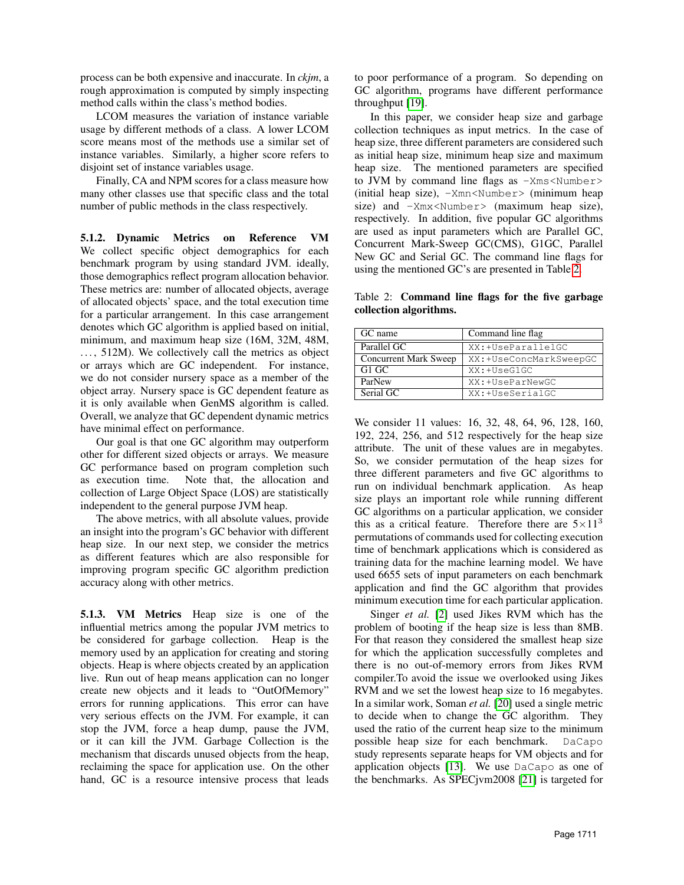process can be both expensive and inaccurate. In *ckjm*, a rough approximation is computed by simply inspecting method calls within the class's method bodies.

LCOM measures the variation of instance variable usage by different methods of a class. A lower LCOM score means most of the methods use a similar set of instance variables. Similarly, a higher score refers to disjoint set of instance variables usage.

Finally, CA and NPM scores for a class measure how many other classes use that specific class and the total number of public methods in the class respectively.

5.1.2. Dynamic Metrics on Reference VM We collect specific object demographics for each benchmark program by using standard JVM. ideally, those demographics reflect program allocation behavior. These metrics are: number of allocated objects, average of allocated objects' space, and the total execution time for a particular arrangement. In this case arrangement denotes which GC algorithm is applied based on initial, minimum, and maximum heap size (16M, 32M, 48M, ..., 512M). We collectively call the metrics as object or arrays which are GC independent. For instance, we do not consider nursery space as a member of the object array. Nursery space is GC dependent feature as it is only available when GenMS algorithm is called. Overall, we analyze that GC dependent dynamic metrics have minimal effect on performance.

Our goal is that one GC algorithm may outperform other for different sized objects or arrays. We measure GC performance based on program completion such as execution time. Note that, the allocation and collection of Large Object Space (LOS) are statistically independent to the general purpose JVM heap.

The above metrics, with all absolute values, provide an insight into the program's GC behavior with different heap size. In our next step, we consider the metrics as different features which are also responsible for improving program specific GC algorithm prediction accuracy along with other metrics.

5.1.3. VM Metrics Heap size is one of the influential metrics among the popular JVM metrics to be considered for garbage collection. Heap is the memory used by an application for creating and storing objects. Heap is where objects created by an application live. Run out of heap means application can no longer create new objects and it leads to "OutOfMemory" errors for running applications. This error can have very serious effects on the JVM. For example, it can stop the JVM, force a heap dump, pause the JVM, or it can kill the JVM. Garbage Collection is the mechanism that discards unused objects from the heap, reclaiming the space for application use. On the other hand, GC is a resource intensive process that leads

to poor performance of a program. So depending on GC algorithm, programs have different performance throughput [\[19\]](#page-9-17).

In this paper, we consider heap size and garbage collection techniques as input metrics. In the case of heap size, three different parameters are considered such as initial heap size, minimum heap size and maximum heap size. The mentioned parameters are specified to JVM by command line flags as  $-x$ ms<Number> (initial heap size),  $-xmn< Number>$  (minimum heap size) and  $-Xmx <$ Number > (maximum heap size), respectively. In addition, five popular GC algorithms are used as input parameters which are Parallel GC, Concurrent Mark-Sweep GC(CMS), G1GC, Parallel New GC and Serial GC. The command line flags for using the mentioned GC's are presented in Table [2.](#page-4-0)

<span id="page-4-0"></span>Table 2: Command line flags for the five garbage collection algorithms.

| GC name                      | Command line flag      |  |  |
|------------------------------|------------------------|--|--|
| Parallel GC                  | XX:+UseParallelGC      |  |  |
| <b>Concurrent Mark Sweep</b> | XX:+UseConcMarkSweepGC |  |  |
| G1 GC                        | XX:+UseG1GC            |  |  |
| ParNew                       | XX:+UseParNewGC        |  |  |
| Serial GC                    | XX:+UseSerialGC        |  |  |

We consider 11 values: 16, 32, 48, 64, 96, 128, 160, 192, 224, 256, and 512 respectively for the heap size attribute. The unit of these values are in megabytes. So, we consider permutation of the heap sizes for three different parameters and five GC algorithms to run on individual benchmark application. As heap size plays an important role while running different GC algorithms on a particular application, we consider this as a critical feature. Therefore there are  $5 \times 11^3$ permutations of commands used for collecting execution time of benchmark applications which is considered as training data for the machine learning model. We have used 6655 sets of input parameters on each benchmark application and find the GC algorithm that provides minimum execution time for each particular application.

Singer *et al.* [\[2\]](#page-9-1) used Jikes RVM which has the problem of booting if the heap size is less than 8MB. For that reason they considered the smallest heap size for which the application successfully completes and there is no out-of-memory errors from Jikes RVM compiler.To avoid the issue we overlooked using Jikes RVM and we set the lowest heap size to 16 megabytes. In a similar work, Soman *et al.* [\[20\]](#page-9-18) used a single metric to decide when to change the GC algorithm. They used the ratio of the current heap size to the minimum possible heap size for each benchmark. DaCapo study represents separate heaps for VM objects and for application objects [\[13\]](#page-9-12). We use DaCapo as one of the benchmarks. As SPECjvm2008 [\[21\]](#page-9-19) is targeted for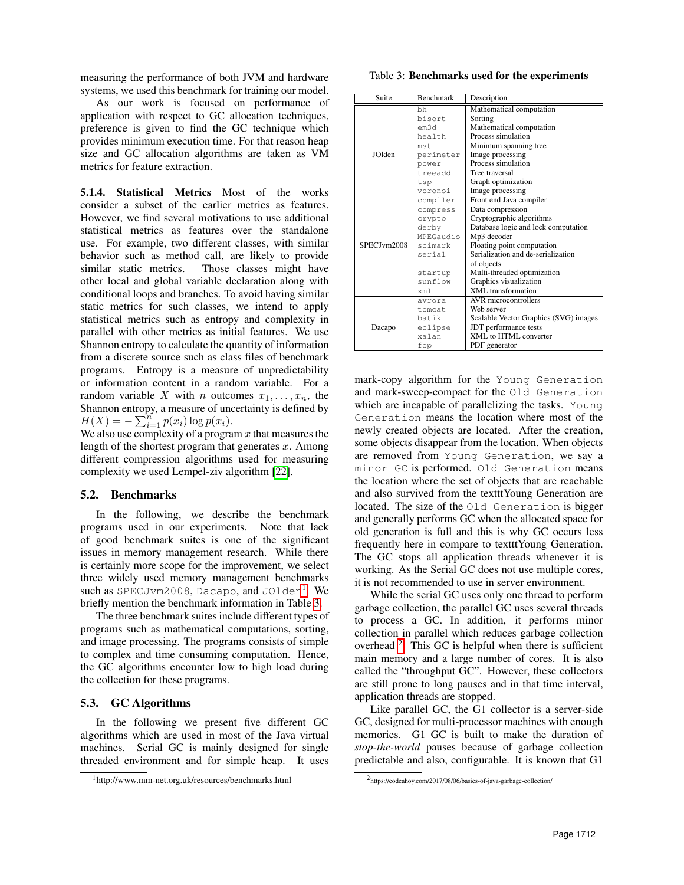measuring the performance of both JVM and hardware systems, we used this benchmark for training our model.

As our work is focused on performance of application with respect to GC allocation techniques, preference is given to find the GC technique which provides minimum execution time. For that reason heap size and GC allocation algorithms are taken as VM metrics for feature extraction.

5.1.4. Statistical Metrics Most of the works consider a subset of the earlier metrics as features. However, we find several motivations to use additional statistical metrics as features over the standalone use. For example, two different classes, with similar behavior such as method call, are likely to provide similar static metrics. Those classes might have other local and global variable declaration along with conditional loops and branches. To avoid having similar static metrics for such classes, we intend to apply statistical metrics such as entropy and complexity in parallel with other metrics as initial features. We use Shannon entropy to calculate the quantity of information from a discrete source such as class files of benchmark programs. Entropy is a measure of unpredictability or information content in a random variable. For a random variable X with n outcomes  $x_1, \ldots, x_n$ , the Shannon entropy, a measure of uncertainty is defined by  $H(X) = -\sum_{i=1}^{n} p(x_i) \log p(x_i).$ 

We also use complexity of a program  $x$  that measures the length of the shortest program that generates  $x$ . Among different compression algorithms used for measuring complexity we used Lempel-ziv algorithm [\[22\]](#page-9-20).

### 5.2. Benchmarks

In the following, we describe the benchmark programs used in our experiments. Note that lack of good benchmark suites is one of the significant issues in memory management research. While there is certainly more scope for the improvement, we select three widely used memory management benchmarks such as SPECJvm2008, Dacapo, and JOlden<sup>[1](#page-5-0)</sup>. We briefly mention the benchmark information in Table [3.](#page-5-1)

The three benchmark suites include different types of programs such as mathematical computations, sorting, and image processing. The programs consists of simple to complex and time consuming computation. Hence, the GC algorithms encounter low to high load during the collection for these programs.

### 5.3. GC Algorithms

In the following we present five different GC algorithms which are used in most of the Java virtual machines. Serial GC is mainly designed for single threaded environment and for simple heap. It uses

<span id="page-5-1"></span>Table 3: Benchmarks used for the experiments

| Suite          | <b>Benchmark</b> | Description                           |  |
|----------------|------------------|---------------------------------------|--|
|                | bh               | Mathematical computation              |  |
|                | bisort           | Sorting                               |  |
|                | em3d             | Mathematical computation              |  |
|                | health           | Process simulation                    |  |
|                | mst.             | Minimum spanning tree                 |  |
| <b>IO</b> Iden | perimeter        | Image processing                      |  |
|                | power            | Process simulation                    |  |
|                | treeadd          | Tree traversal                        |  |
|                | tsp              | Graph optimization                    |  |
|                | voronoi          | Image processing                      |  |
|                | compiler         | Front end Java compiler               |  |
|                | compress         | Data compression                      |  |
|                | crypto           | Cryptographic algorithms              |  |
|                | derby            | Database logic and lock computation   |  |
|                | MPEGaudio        | Mp3 decoder                           |  |
| SPECJvm2008    | scimark          | Floating point computation            |  |
|                | serial           | Serialization and de-serialization    |  |
|                |                  | of objects                            |  |
|                | startup          | Multi-threaded optimization           |  |
|                | sunflow          | Graphics visualization                |  |
|                | xml              | XML transformation                    |  |
|                | avrora           | AVR microcontrollers                  |  |
|                | tomcat           | Web server                            |  |
|                | batik            | Scalable Vector Graphics (SVG) images |  |
| Dacapo         | eclipse          | JDT performance tests                 |  |
|                | xalan            | XML to HTML converter                 |  |
|                | fop              | PDF generator                         |  |

mark-copy algorithm for the Young Generation and mark-sweep-compact for the Old Generation which are incapable of parallelizing the tasks. Young Generation means the location where most of the newly created objects are located. After the creation, some objects disappear from the location. When objects are removed from Young Generation, we say a minor GC is performed. Old Generation means the location where the set of objects that are reachable and also survived from the textttYoung Generation are located. The size of the Old Generation is bigger and generally performs GC when the allocated space for old generation is full and this is why GC occurs less frequently here in compare to textttYoung Generation. The GC stops all application threads whenever it is working. As the Serial GC does not use multiple cores, it is not recommended to use in server environment.

While the serial GC uses only one thread to perform garbage collection, the parallel GC uses several threads to process a GC. In addition, it performs minor collection in parallel which reduces garbage collection overhead  $2$ . This GC is helpful when there is sufficient main memory and a large number of cores. It is also called the "throughput GC". However, these collectors are still prone to long pauses and in that time interval, application threads are stopped.

Like parallel GC, the G1 collector is a server-side GC, designed for multi-processor machines with enough memories. G1 GC is built to make the duration of *stop-the-world* pauses because of garbage collection predictable and also, configurable. It is known that G1

<span id="page-5-0"></span><sup>1</sup>http://www.mm-net.org.uk/resources/benchmarks.html

<span id="page-5-2"></span><sup>2</sup> https://codeahoy.com/2017/08/06/basics-of-java-garbage-collection/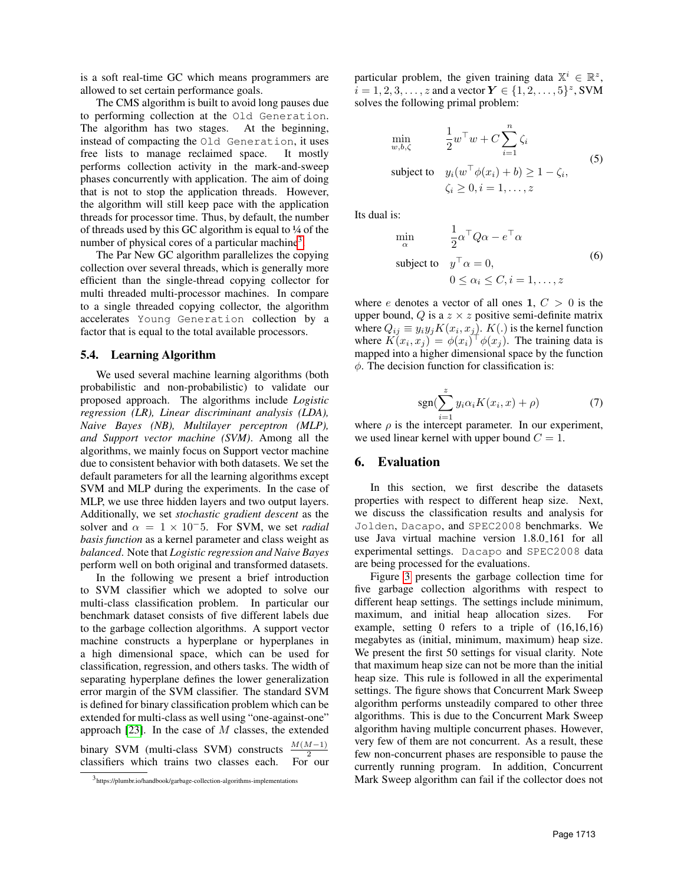is a soft real-time GC which means programmers are allowed to set certain performance goals.

The CMS algorithm is built to avoid long pauses due to performing collection at the Old Generation. The algorithm has two stages. At the beginning, instead of compacting the Old Generation, it uses free lists to manage reclaimed space. It mostly performs collection activity in the mark-and-sweep phases concurrently with application. The aim of doing that is not to stop the application threads. However, the algorithm will still keep pace with the application threads for processor time. Thus, by default, the number of threads used by this GC algorithm is equal to ¼ of the number of physical cores of a particular machine<sup>[3](#page-6-1)</sup>.

The Par New GC algorithm parallelizes the copying collection over several threads, which is generally more efficient than the single-thread copying collector for multi threaded multi-processor machines. In compare to a single threaded copying collector, the algorithm accelerates Young Generation collection by a factor that is equal to the total available processors.

#### 5.4. Learning Algorithm

We used several machine learning algorithms (both probabilistic and non-probabilistic) to validate our proposed approach. The algorithms include *Logistic regression (LR), Linear discriminant analysis (LDA), Naive Bayes (NB), Multilayer perceptron (MLP), and Support vector machine (SVM)*. Among all the algorithms, we mainly focus on Support vector machine due to consistent behavior with both datasets. We set the default parameters for all the learning algorithms except SVM and MLP during the experiments. In the case of MLP, we use three hidden layers and two output layers. Additionally, we set *stochastic gradient descent* as the solver and  $\alpha = 1 \times 10^{-5}$ . For SVM, we set *radial basis function* as a kernel parameter and class weight as *balanced*. Note that *Logistic regression and Naive Bayes* perform well on both original and transformed datasets.

In the following we present a brief introduction to SVM classifier which we adopted to solve our multi-class classification problem. In particular our benchmark dataset consists of five different labels due to the garbage collection algorithms. A support vector machine constructs a hyperplane or hyperplanes in a high dimensional space, which can be used for classification, regression, and others tasks. The width of separating hyperplane defines the lower generalization error margin of the SVM classifier. The standard SVM is defined for binary classification problem which can be extended for multi-class as well using "one-against-one" approach  $[23]$ . In the case of M classes, the extended binary SVM (multi-class SVM) constructs  $\frac{M(M-1)}{2}$ classifiers which trains two classes each. For our

particular problem, the given training data  $X^i \in \mathbb{R}^z$ ,  $i = 1, 2, 3, ..., z$  and a vector  $Y \in \{1, 2, ..., 5\}^z$ , SVM solves the following primal problem:

$$
\min_{w,b,\zeta} \qquad \frac{1}{2} w^{\top} w + C \sum_{i=1}^{n} \zeta_i
$$
\n
$$
\text{subject to} \quad y_i(w^{\top} \phi(x_i) + b) \ge 1 - \zeta_i,
$$
\n
$$
\zeta_i \ge 0, i = 1, \dots, z
$$
\n
$$
(5)
$$

Its dual is:

min  $\overline{u}$ 

$$
\min_{\alpha} \qquad \frac{1}{2} \alpha^{\top} Q \alpha - e^{\top} \alpha
$$
\n
$$
\text{subject to} \quad y^{\top} \alpha = 0,
$$
\n
$$
0 \le \alpha_i \le C, i = 1, \dots, z
$$
\n(6)

where e denotes a vector of all ones 1,  $C > 0$  is the upper bound, Q is a  $z \times z$  positive semi-definite matrix where  $Q_{ij} \equiv y_i y_j K(x_i, x_j)$ .  $K(.)$  is the kernel function where  $K(x_i, x_j) = \phi(x_i)^\top \phi(x_j)$ . The training data is mapped into a higher dimensional space by the function  $\phi$ . The decision function for classification is:

$$
sgn(\sum_{i=1}^{z} y_i \alpha_i K(x_i, x) + \rho)
$$
 (7)

where  $\rho$  is the intercept parameter. In our experiment, we used linear kernel with upper bound  $C = 1$ .

### <span id="page-6-0"></span>6. Evaluation

In this section, we first describe the datasets properties with respect to different heap size. Next, we discuss the classification results and analysis for Jolden, Dacapo, and SPEC2008 benchmarks. We use Java virtual machine version 1.8.0 161 for all experimental settings. Dacapo and SPEC2008 data are being processed for the evaluations.

Figure [3](#page-7-0) presents the garbage collection time for five garbage collection algorithms with respect to different heap settings. The settings include minimum, maximum, and initial heap allocation sizes. For example, setting 0 refers to a triple of (16,16,16) megabytes as (initial, minimum, maximum) heap size. We present the first 50 settings for visual clarity. Note that maximum heap size can not be more than the initial heap size. This rule is followed in all the experimental settings. The figure shows that Concurrent Mark Sweep algorithm performs unsteadily compared to other three algorithms. This is due to the Concurrent Mark Sweep algorithm having multiple concurrent phases. However, very few of them are not concurrent. As a result, these few non-concurrent phases are responsible to pause the currently running program. In addition, Concurrent Mark Sweep algorithm can fail if the collector does not

<span id="page-6-1"></span><sup>3</sup> https://plumbr.io/handbook/garbage-collection-algorithms-implementations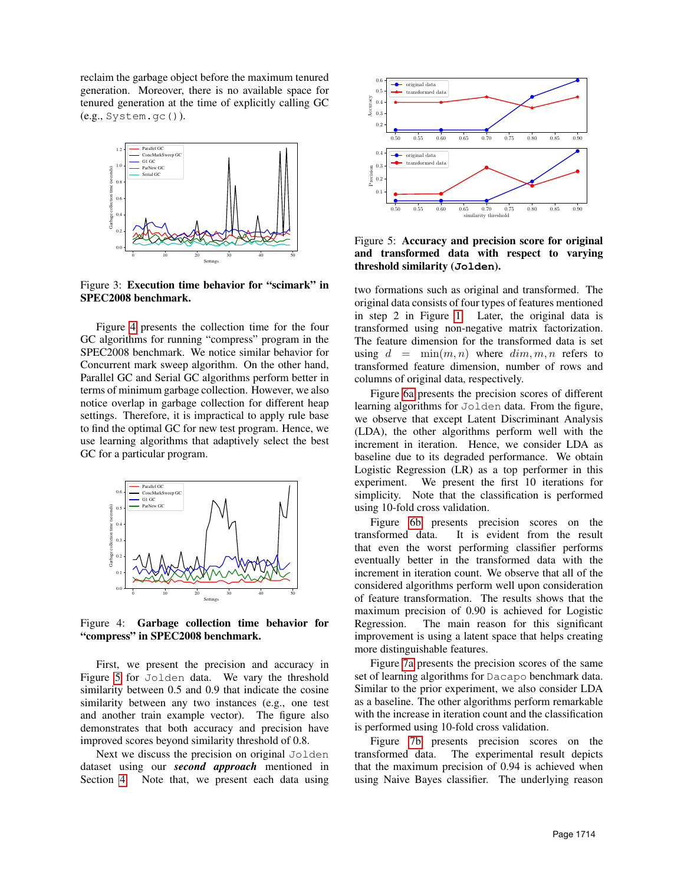reclaim the garbage object before the maximum tenured generation. Moreover, there is no available space for tenured generation at the time of explicitly calling GC (e.g., System.gc()).

<span id="page-7-0"></span>

Figure 3: Execution time behavior for "scimark" in SPEC2008 benchmark.

Figure [4](#page-7-1) presents the collection time for the four GC algorithms for running "compress" program in the SPEC2008 benchmark. We notice similar behavior for Concurrent mark sweep algorithm. On the other hand, Parallel GC and Serial GC algorithms perform better in terms of minimum garbage collection. However, we also notice overlap in garbage collection for different heap settings. Therefore, it is impractical to apply rule base to find the optimal GC for new test program. Hence, we use learning algorithms that adaptively select the best GC for a particular program.

<span id="page-7-1"></span>

Figure 4: Garbage collection time behavior for "compress" in SPEC2008 benchmark.

First, we present the precision and accuracy in Figure [5](#page-7-2) for Jolden data. We vary the threshold similarity between 0.5 and 0.9 that indicate the cosine similarity between any two instances (e.g., one test and another train example vector). The figure also demonstrates that both accuracy and precision have improved scores beyond similarity threshold of 0.8.

Next we discuss the precision on original Jolden dataset using our *second approach* mentioned in Section [4.](#page-2-0) Note that, we present each data using

<span id="page-7-2"></span>

Figure 5: Accuracy and precision score for original and transformed data with respect to varying threshold similarity (**Jolden**).

two formations such as original and transformed. The original data consists of four types of features mentioned in step 2 in Figure [1.](#page-2-5) Later, the original data is transformed using non-negative matrix factorization. The feature dimension for the transformed data is set using  $d = \min(m, n)$  where  $dim, m, n$  refers to transformed feature dimension, number of rows and columns of original data, respectively.

Figure [6a](#page-8-1) presents the precision scores of different learning algorithms for Jolden data. From the figure, we observe that except Latent Discriminant Analysis (LDA), the other algorithms perform well with the increment in iteration. Hence, we consider LDA as baseline due to its degraded performance. We obtain Logistic Regression (LR) as a top performer in this experiment. We present the first 10 iterations for simplicity. Note that the classification is performed using 10-fold cross validation.

Figure [6b](#page-8-1) presents precision scores on the transformed data. It is evident from the result that even the worst performing classifier performs eventually better in the transformed data with the increment in iteration count. We observe that all of the considered algorithms perform well upon consideration of feature transformation. The results shows that the maximum precision of 0.90 is achieved for Logistic Regression. The main reason for this significant improvement is using a latent space that helps creating more distinguishable features.

Figure [7a](#page-8-2) presents the precision scores of the same set of learning algorithms for Dacapo benchmark data. Similar to the prior experiment, we also consider LDA as a baseline. The other algorithms perform remarkable with the increase in iteration count and the classification is performed using 10-fold cross validation.

Figure [7b](#page-8-2) presents precision scores on the transformed data. The experimental result depicts that the maximum precision of 0.94 is achieved when using Naive Bayes classifier. The underlying reason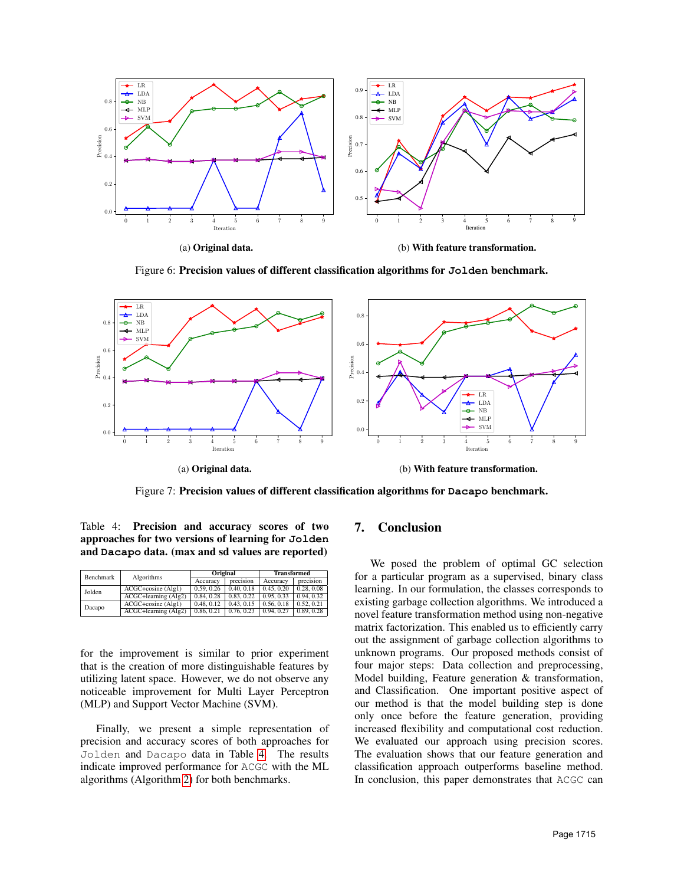<span id="page-8-1"></span>

Figure 6: Precision values of different classification algorithms for **Jolden** benchmark.

<span id="page-8-2"></span>

Figure 7: Precision values of different classification algorithms for **Dacapo** benchmark.

<span id="page-8-3"></span>Table 4: Precision and accuracy scores of two approaches for two versions of learning for **Jolden** and **Dacapo** data. (max and sd values are reported)

| Benchmark | Algorithms             | Original   |            | <b>Transformed</b> |            |
|-----------|------------------------|------------|------------|--------------------|------------|
|           |                        | Accuracy   | precision  | Accuracy           | precision  |
| Jolden    | $ACGC + cosine (Alg1)$ | 0.59, 0.26 | 0.40, 0.18 | 0.45, 0.20         | 0.28, 0.08 |
|           | ACGC+learning (Alg2)   | 0.84, 0.28 | 0.83, 0.22 | 0.95, 0.33         | 0.94.0.32  |
| Dacapo    | $ACGC + cosine$ (Alg1) | 0.48, 0.12 | 0.43, 0.15 | 0.56, 0.18         | 0.52, 0.21 |
|           | ACGC+learning (Alg2)   | 0.86, 0.21 | 0.76, 0.23 | 0.94, 0.27         | 0.89, 0.28 |

for the improvement is similar to prior experiment that is the creation of more distinguishable features by utilizing latent space. However, we do not observe any noticeable improvement for Multi Layer Perceptron (MLP) and Support Vector Machine (SVM).

Finally, we present a simple representation of precision and accuracy scores of both approaches for Jolden and Dacapo data in Table [4.](#page-8-3) The results indicate improved performance for ACGC with the ML algorithms (Algorithm [2\)](#page-3-1) for both benchmarks.

### <span id="page-8-0"></span>7. Conclusion

We posed the problem of optimal GC selection for a particular program as a supervised, binary class learning. In our formulation, the classes corresponds to existing garbage collection algorithms. We introduced a novel feature transformation method using non-negative matrix factorization. This enabled us to efficiently carry out the assignment of garbage collection algorithms to unknown programs. Our proposed methods consist of four major steps: Data collection and preprocessing, Model building, Feature generation & transformation, and Classification. One important positive aspect of our method is that the model building step is done only once before the feature generation, providing increased flexibility and computational cost reduction. We evaluated our approach using precision scores. The evaluation shows that our feature generation and classification approach outperforms baseline method. In conclusion, this paper demonstrates that ACGC can